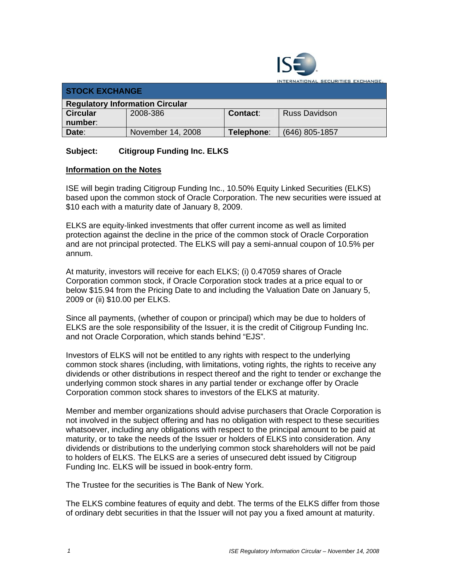

**ITERNATIONAL SECURITIES EXCHANGE.** 

| <b>STOCK EXCHANGE</b>                  |                   |            |                      |  |
|----------------------------------------|-------------------|------------|----------------------|--|
| <b>Regulatory Information Circular</b> |                   |            |                      |  |
| <b>Circular</b>                        | 2008-386          | Contact:   | <b>Russ Davidson</b> |  |
| number:                                |                   |            |                      |  |
| Date:                                  | November 14, 2008 | Telephone: | (646) 805-1857       |  |

## **Subject: Citigroup Funding Inc. ELKS**

## **Information on the Notes**

ISE will begin trading Citigroup Funding Inc., 10.50% Equity Linked Securities (ELKS) based upon the common stock of Oracle Corporation. The new securities were issued at \$10 each with a maturity date of January 8, 2009.

ELKS are equity-linked investments that offer current income as well as limited protection against the decline in the price of the common stock of Oracle Corporation and are not principal protected. The ELKS will pay a semi-annual coupon of 10.5% per annum.

At maturity, investors will receive for each ELKS; (i) 0.47059 shares of Oracle Corporation common stock, if Oracle Corporation stock trades at a price equal to or below \$15.94 from the Pricing Date to and including the Valuation Date on January 5, 2009 or (ii) \$10.00 per ELKS.

Since all payments, (whether of coupon or principal) which may be due to holders of ELKS are the sole responsibility of the Issuer, it is the credit of Citigroup Funding Inc. and not Oracle Corporation, which stands behind "EJS".

Investors of ELKS will not be entitled to any rights with respect to the underlying common stock shares (including, with limitations, voting rights, the rights to receive any dividends or other distributions in respect thereof and the right to tender or exchange the underlying common stock shares in any partial tender or exchange offer by Oracle Corporation common stock shares to investors of the ELKS at maturity.

Member and member organizations should advise purchasers that Oracle Corporation is not involved in the subject offering and has no obligation with respect to these securities whatsoever, including any obligations with respect to the principal amount to be paid at maturity, or to take the needs of the Issuer or holders of ELKS into consideration. Any dividends or distributions to the underlying common stock shareholders will not be paid to holders of ELKS. The ELKS are a series of unsecured debt issued by Citigroup Funding Inc. ELKS will be issued in book-entry form.

The Trustee for the securities is The Bank of New York.

The ELKS combine features of equity and debt. The terms of the ELKS differ from those of ordinary debt securities in that the Issuer will not pay you a fixed amount at maturity.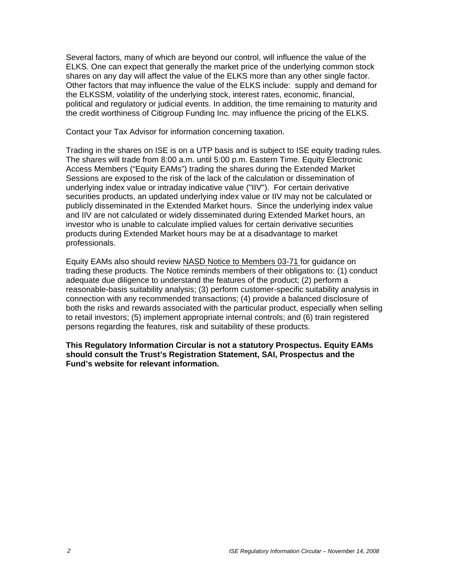Several factors, many of which are beyond our control, will influence the value of the ELKS. One can expect that generally the market price of the underlying common stock shares on any day will affect the value of the ELKS more than any other single factor. Other factors that may influence the value of the ELKS include: supply and demand for the ELKSSM, volatility of the underlying stock, interest rates, economic, financial, political and regulatory or judicial events. In addition, the time remaining to maturity and the credit worthiness of Citigroup Funding Inc. may influence the pricing of the ELKS.

Contact your Tax Advisor for information concerning taxation.

Trading in the shares on ISE is on a UTP basis and is subject to ISE equity trading rules. The shares will trade from 8:00 a.m. until 5:00 p.m. Eastern Time. Equity Electronic Access Members ("Equity EAMs") trading the shares during the Extended Market Sessions are exposed to the risk of the lack of the calculation or dissemination of underlying index value or intraday indicative value ("IIV"). For certain derivative securities products, an updated underlying index value or IIV may not be calculated or publicly disseminated in the Extended Market hours. Since the underlying index value and IIV are not calculated or widely disseminated during Extended Market hours, an investor who is unable to calculate implied values for certain derivative securities products during Extended Market hours may be at a disadvantage to market professionals.

Equity EAMs also should review NASD Notice to Members 03-71 for guidance on trading these products. The Notice reminds members of their obligations to: (1) conduct adequate due diligence to understand the features of the product; (2) perform a reasonable-basis suitability analysis; (3) perform customer-specific suitability analysis in connection with any recommended transactions; (4) provide a balanced disclosure of both the risks and rewards associated with the particular product, especially when selling to retail investors; (5) implement appropriate internal controls; and (6) train registered persons regarding the features, risk and suitability of these products.

**This Regulatory Information Circular is not a statutory Prospectus. Equity EAMs should consult the Trust's Registration Statement, SAI, Prospectus and the Fund's website for relevant information.**